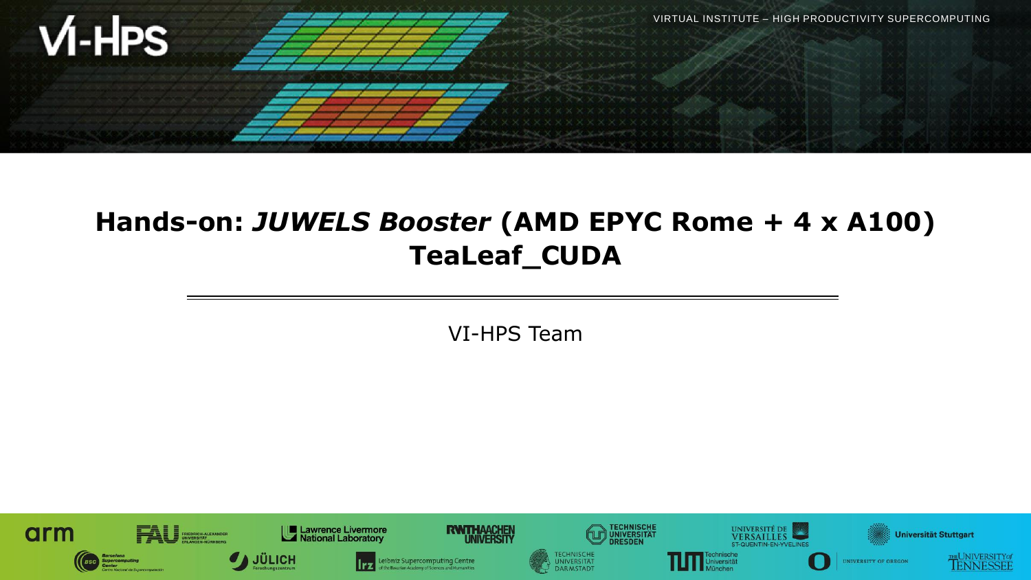

# **Hands-on:** *JUWELS Booster* **(AMD EPYC Rome + 4 x A100) TeaLeaf\_CUDA**

VI-HPS Team

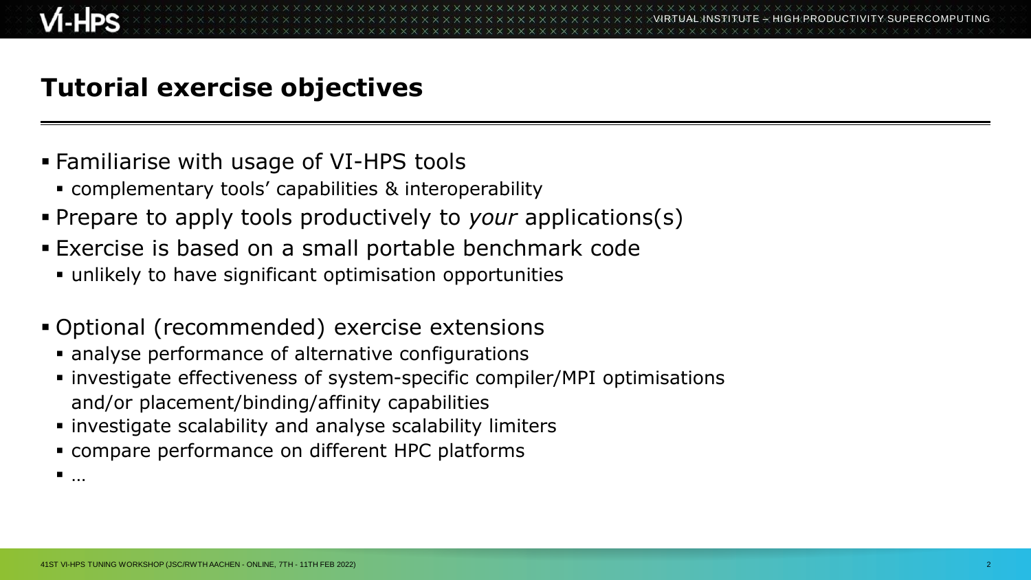# **Tutorial exercise objectives**

- Familiarise with usage of VI-HPS tools
	- complementary tools' capabilities & interoperability
- Prepare to apply tools productively to *your* applications(s)
- Exercise is based on a small portable benchmark code
	- unlikely to have significant optimisation opportunities
- Optional (recommended) exercise extensions
	- analyse performance of alternative configurations
	- investigate effectiveness of system-specific compiler/MPI optimisations and/or placement/binding/affinity capabilities
	- investigate scalability and analyse scalability limiters
	- compare performance on different HPC platforms

…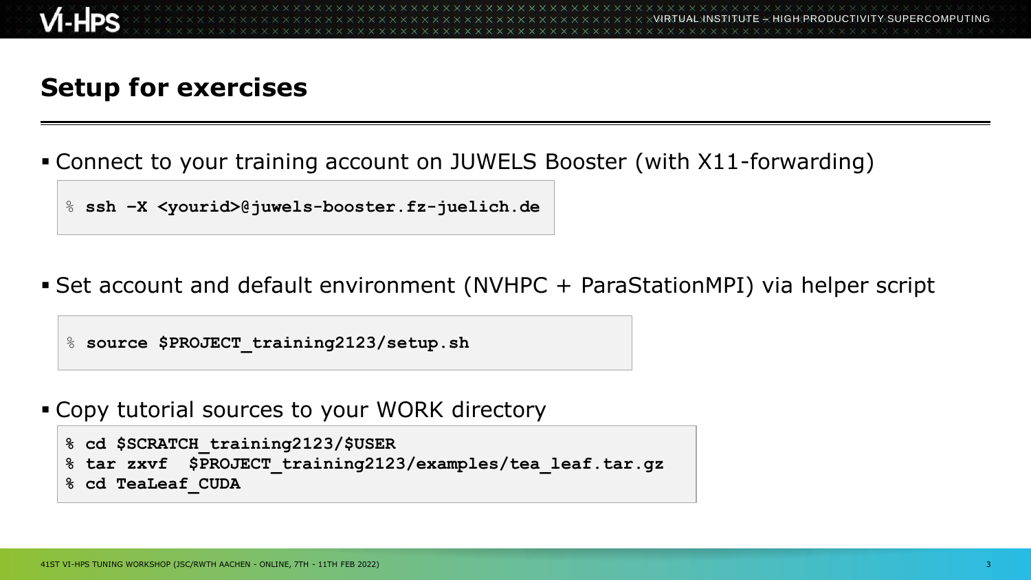## **Setup for exercises**

- Connect to your training account on JUWELS Booster (with X11-forwarding)
	- % **ssh –X <yourid>@juwels-booster.fz-juelich.de**
- Set account and default environment (NVHPC + ParaStationMPI) via helper script
	- % **source \$PROJECT\_training2123/setup.sh**
- Copy tutorial sources to your WORK directory

```
% cd $SCRATCH_training2123/$USER
% tar zxvf $PROJECT_training2123/examples/tea_leaf.tar.gz
% cd TeaLeaf_CUDA
```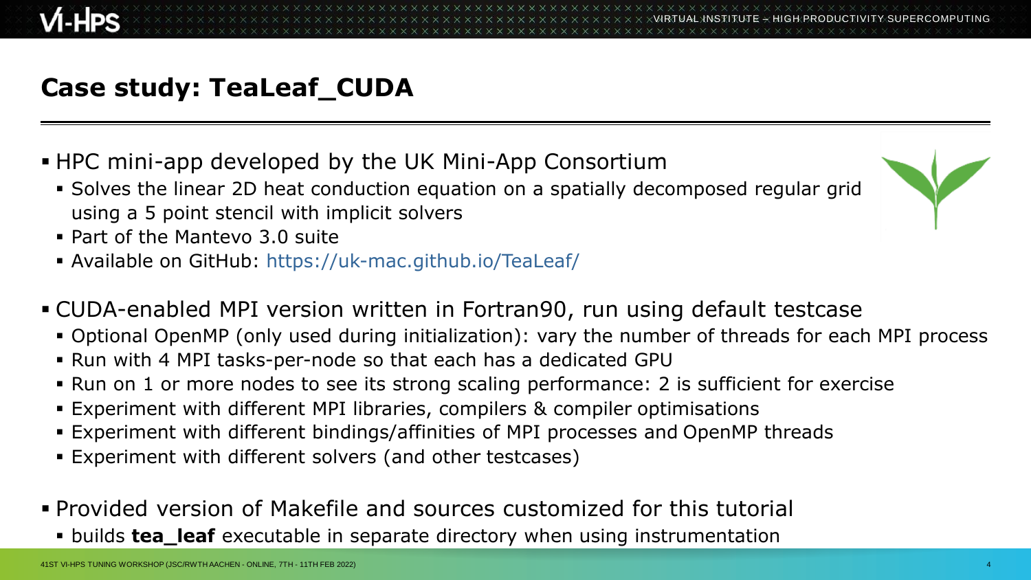# **Case study: TeaLeaf\_CUDA**

- HPC mini-app developed by the UK Mini-App Consortium
	- Solves the linear 2D heat conduction equation on a spatially decomposed regular grid using a 5 point stencil with implicit solvers
	- Part of the Mantevo 3.0 suite
	- Available on GitHub: https://uk-mac.github.io/TeaLeaf/
- CUDA-enabled MPI version written in Fortran90, run using default testcase
	- Optional OpenMP (only used during initialization): vary the number of threads for each MPI process
	- Run with 4 MPI tasks-per-node so that each has a dedicated GPU
	- Run on 1 or more nodes to see its strong scaling performance: 2 is sufficient for exercise
	- Experiment with different MPI libraries, compilers & compiler optimisations
	- Experiment with different bindings/affinities of MPI processes and OpenMP threads
	- Experiment with different solvers (and other testcases)
- Provided version of Makefile and sources customized for this tutorial
	- builds **tea\_leaf** executable in separate directory when using instrumentation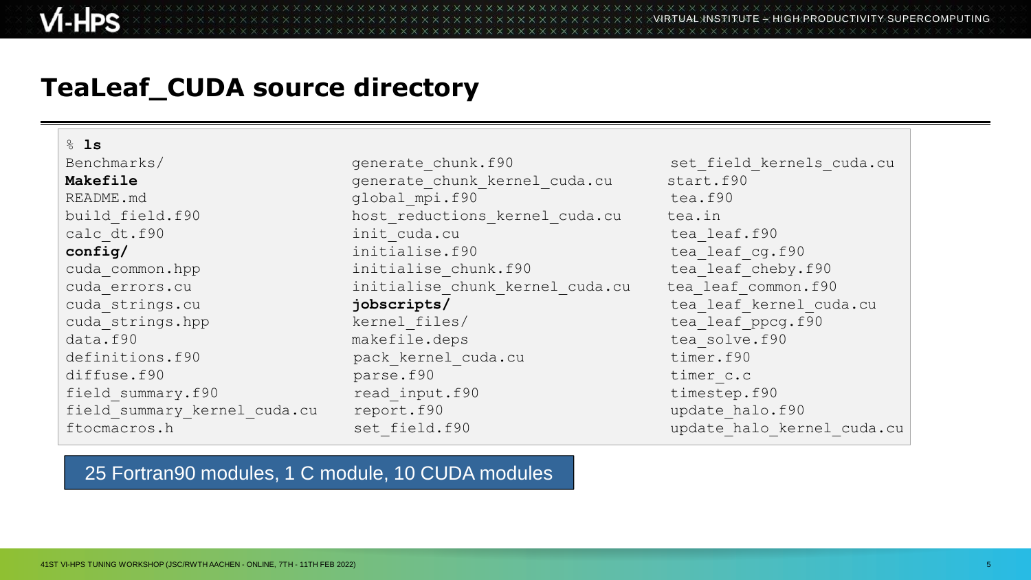#### **TeaLeaf\_CUDA source directory**

% **ls**

Benchmarks/ set field kernels cuda.cu Makefile **Makefile** generate chunk kernel cuda.cu start.f90 README.md qlobal mpi.f90 tea.f90 build field.f90 host reductions kernel cuda.cu tea.in calc dt.f90 init cuda.cu tea leaf.f90 **config/** tea leaf cg.f90 tea leaf cg.f90 cuda common.hpp initialise chunk.f90 tea leaf cheby.f90 cuda errors.cu initialise chunk kernel cuda.cu tea leaf common.f90 cuda\_strings.cu **jobscripts/** tea\_leaf\_kernel\_cuda.cu cuda strings.hpp  $k$ ernel files/ tea leaf ppcg.f90 data.f90 makefile.deps tea solve.f90 definitions.f90 pack kernel cuda.cu timer.f90 diffuse.f90 parse.f90 barse.f90 timer c.c field summary.f90 read input.f90 timestep.f90 field summary kernel cuda.cu report.f90 versus wedate halo.f90 ftocmacros.h set field.f90 update halo kernel cuda.cu

#### 25 Fortran90 modules, 1 C module, 10 CUDA modules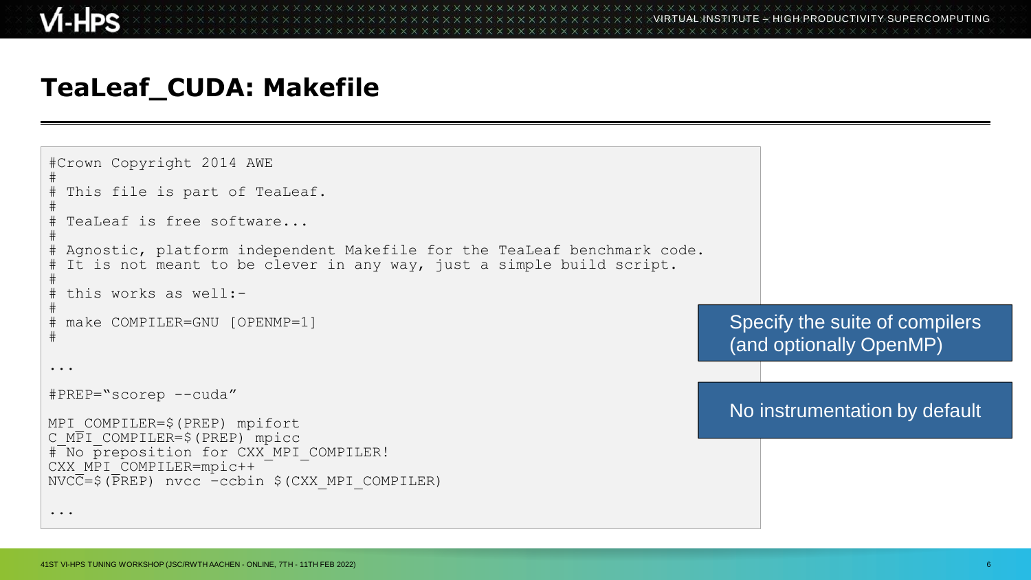#### **TeaLeaf\_CUDA: Makefile**

```
#Crown Copyright 2014 AWE
#
# This file is part of TeaLeaf.
#
 TeaLeaf is free software...
#
 Agnostic, platform independent Makefile for the TeaLeaf benchmark code.
 It is not meant to be clever in any way, just a simple build script.
#
# this works as well:-
#
# make COMPILER=GNU [OPENMP=1]
#
...
#PREP="scorep --cuda"
MPI_COMPILER=$(PREP) mpifort
C_MPI_COMPILER=$(PREP) mpicc
# No preposition for CXX MPI COMPILER!
CXX MPI COMPILER=mpic++
NVC\overline{C}=\xi(\overline{P}RED) nvcc -ccbin \xi (CXX MPI COMPILER)
...
                                                                                  Specify the suite of compilers
                                                                                  (and optionally OpenMP)
                                                                                  No instrumentation by default
```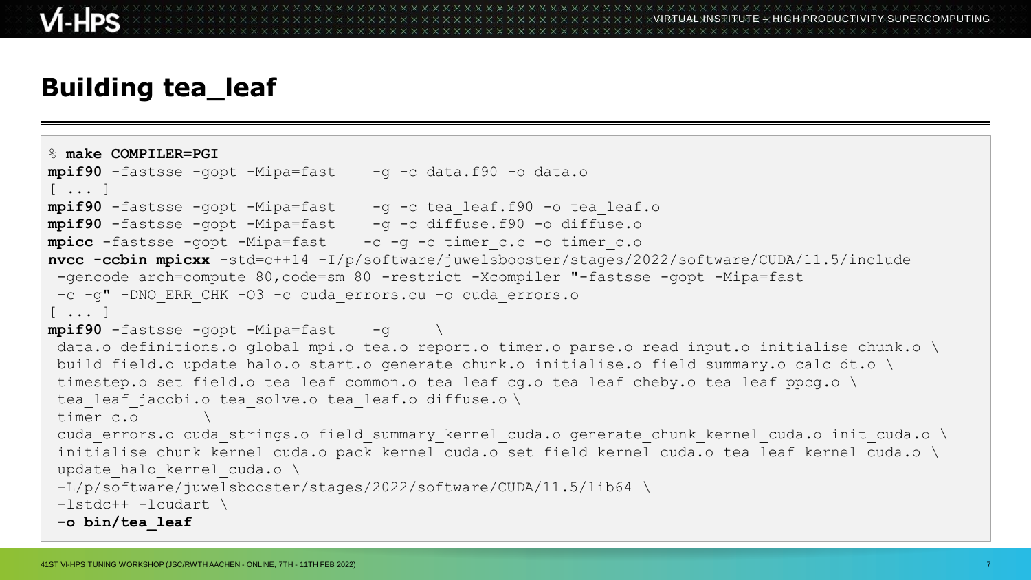## **Building tea\_leaf**

```
% make COMPILER=PGI
mpif90 -fastsse -gopt -Mipa=fast -g -c data.f90 -o data.o
\lceil ... \rceilmpif90 -fastsse -gopt -Mipa=fast -g -c tea leaf.f90 -o tea leaf.o
mpif90 -fastsse -gopt -Mipa=fast -g -c diffuse.f90 -o diffuse.o
mpicc -fastsse -gopt -Mipa=fast -c -g -c timer c.c -o timer c.o
nvcc -ccbin mpicxx -std=c++14 -I/p/software/juwelsbooster/stages/2022/software/CUDA/11.5/include
 -gencode arch=compute 80,code=sm 80 -restrict -Xcompiler "-fastsse -gopt -Mipa=fast
 -c -g" -DNO_ERR_CHK -O3 -c cuda_errors.cu -o cuda_errors.o
[ ... ]
mpif90 -fastsse -gopt -Mipa=fast -g
 data.o definitions.o global mpi.o tea.o report.o timer.o parse.o read input.o initialise chunk.o \
 build field.o update halo.o start.o generate chunk.o initialise.o field summary.o calc dt.o \
 timestep.o set field.o tea leaf common.o tea_leaf_cg.o tea_leaf_cheby.o tea_leaf_ppcg.o \
 tea leaf jacobi.o tea solve.o tea leaf.o diffuse.o \
 timer_c.o \
 cuda errors.o cuda strings.o field summary kernel cuda.o generate chunk kernel cuda.o init cuda.o \
 initialise chunk kernel cuda.o pack kernel cuda.o set field kernel cuda.o tea leaf kernel cuda.o \
 update halo kernel cuda.o \
 -L/p/software/juwelsbooster/stages/2022/software/CUDA/11.5/lib64 \
 -lstdc++ -lcudart \
 -o bin/tea_leaf
```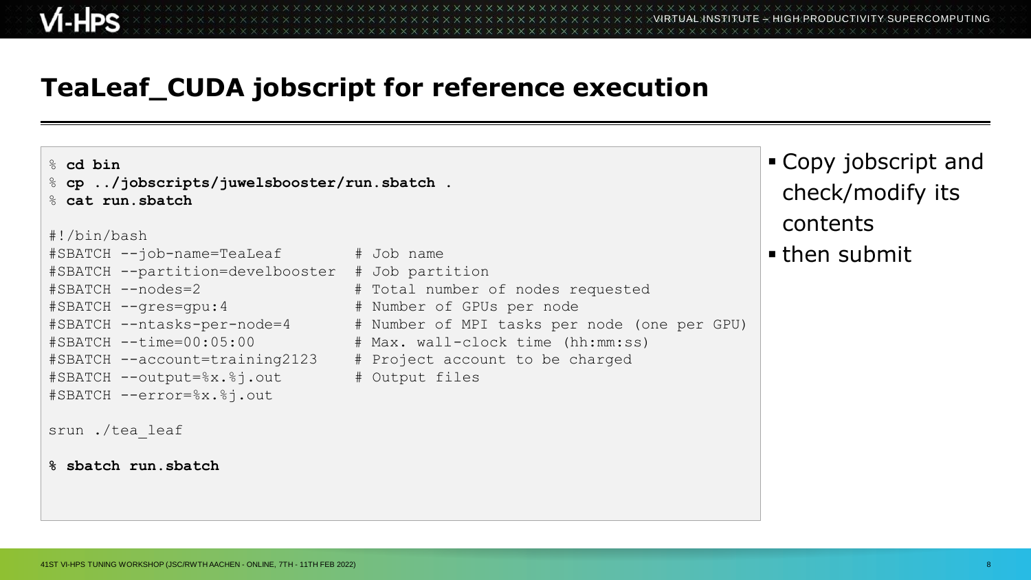## **TeaLeaf\_CUDA jobscript for reference execution**

% **cd bin** % **cp ../jobscripts/juwelsbooster/run.sbatch .** % **cat run.sbatch** #!/bin/bash #SBATCH --job-name=TeaLeaf # Job name #SBATCH --partition=develbooster # Job partition #SBATCH --nodes=2 # Total number of nodes requested #SBATCH --gres=gpu:4 # Number of GPUs per node #SBATCH --ntasks-per-node=4 # Number of MPI tasks per node (one per GPU) #SBATCH --time=00:05:00 # Max. wall-clock time (hh:mm:ss) #SBATCH --account=training2123 # Project account to be charged #SBATCH --output=%x.%j.out # Output files #SBATCH --error=%x.%j.out srun ./tea\_leaf **% sbatch run.sbatch**

#### Copy jobscript and check/modify its contents

**then submit**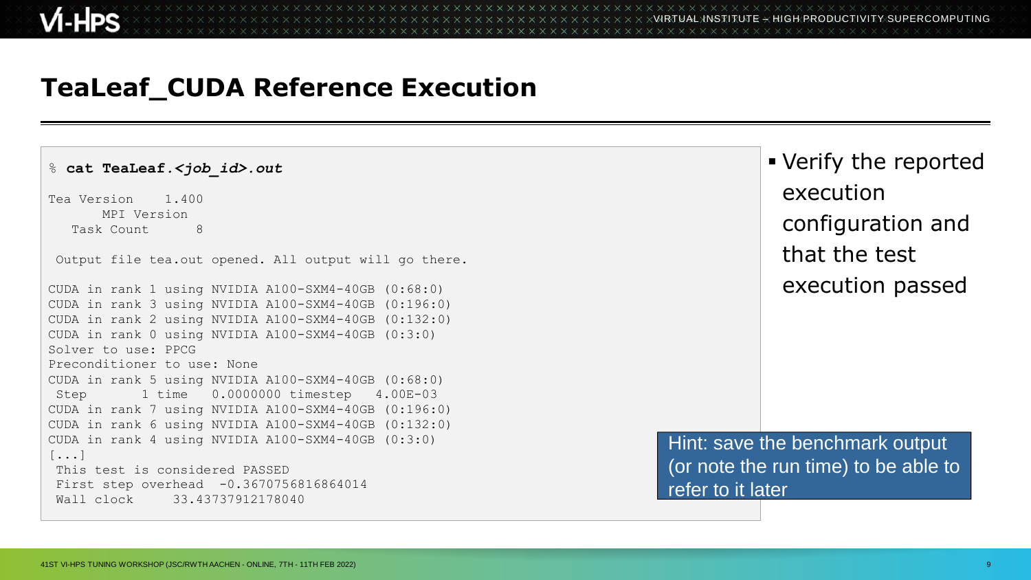#### **TeaLeaf\_CUDA Reference Execution**

% **cat TeaLeaf***.<job\_id>.out* Tea Version 1.400 MPI Version Task Count. 8 Output file tea.out opened. All output will go there. CUDA in rank 1 using NVIDIA A100-SXM4-40GB (0:68:0) CUDA in rank 3 using NVIDIA A100-SXM4-40GB (0:196:0) CUDA in rank 2 using NVIDIA A100-SXM4-40GB (0:132:0) CUDA in rank 0 using NVIDIA A100-SXM4-40GB (0:3:0) Solver to use: PPCG Preconditioner to use: None CUDA in rank 5 using NVIDIA A100-SXM4-40GB (0:68:0) Step 1 time 0.0000000 timestep 4.00E-03 CUDA in rank 7 using NVIDIA A100-SXM4-40GB (0:196:0) CUDA in rank 6 using NVIDIA A100-SXM4-40GB (0:132:0) CUDA in rank 4 using NVIDIA A100-SXM4-40GB (0:3:0) [...] This test is considered PASSED First step overhead -0.3670756816864014 Wall clock 33.43737912178040

 Verify the reported execution configuration and that the test execution passed

Hint: save the benchmark output (or note the run time) to be able to refer to it later